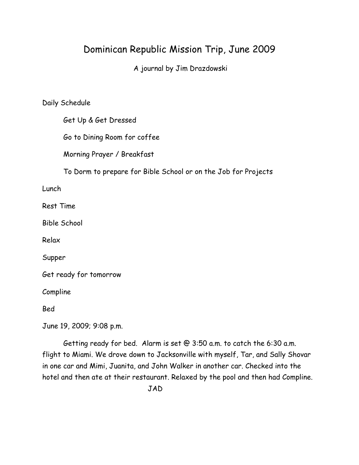# Dominican Republic Mission Trip, June 2009

A journal by Jim Drazdowski

Daily Schedule

Get Up & Get Dressed

Go to Dining Room for coffee

Morning Prayer / Breakfast

To Dorm to prepare for Bible School or on the Job for Projects

Lunch

Rest Time

Bible School

Relax

Supper

Get ready for tomorrow

Compline

Bed

June 19, 2009; 9:08 p.m.

Getting ready for bed. Alarm is set @ 3:50 a.m. to catch the 6:30 a.m. flight to Miami. We drove down to Jacksonville with myself, Tar, and Sally Shovar in one car and Mimi, Juanita, and John Walker in another car. Checked into the hotel and then ate at their restaurant. Relaxed by the pool and then had Compline.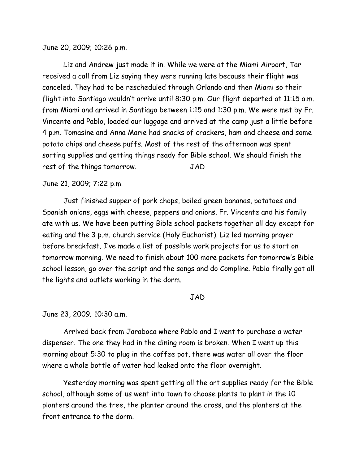June 20, 2009; 10:26 p.m.

Liz and Andrew just made it in. While we were at the Miami Airport, Tar received a call from Liz saying they were running late because their flight was canceled. They had to be rescheduled through Orlando and then Miami so their flight into Santiago wouldn't arrive until 8:30 p.m. Our flight departed at 11:15 a.m. from Miami and arrived in Santiago between 1:15 and 1:30 p.m. We were met by Fr. Vincente and Pablo, loaded our luggage and arrived at the camp just a little before 4 p.m. Tomasine and Anna Marie had snacks of crackers, ham and cheese and some potato chips and cheese puffs. Most of the rest of the afternoon was spent sorting supplies and getting things ready for Bible school. We should finish the rest of the things tomorrow. JAD

### June 21, 2009; 7:22 p.m.

Just finished supper of pork chops, boiled green bananas, potatoes and Spanish onions, eggs with cheese, peppers and onions. Fr. Vincente and his family ate with us. We have been putting Bible school packets together all day except for eating and the 3 p.m. church service (Holy Eucharist). Liz led morning prayer before breakfast. I've made a list of possible work projects for us to start on tomorrow morning. We need to finish about 100 more packets for tomorrow's Bible school lesson, go over the script and the songs and do Compline. Pablo finally got all the lights and outlets working in the dorm.

#### JAD

June 23, 2009; 10:30 a.m.

Arrived back from Jaraboca where Pablo and I went to purchase a water dispenser. The one they had in the dining room is broken. When I went up this morning about 5:30 to plug in the coffee pot, there was water all over the floor where a whole bottle of water had leaked onto the floor overnight.

Yesterday morning was spent getting all the art supplies ready for the Bible school, although some of us went into town to choose plants to plant in the 10 planters around the tree, the planter around the cross, and the planters at the front entrance to the dorm.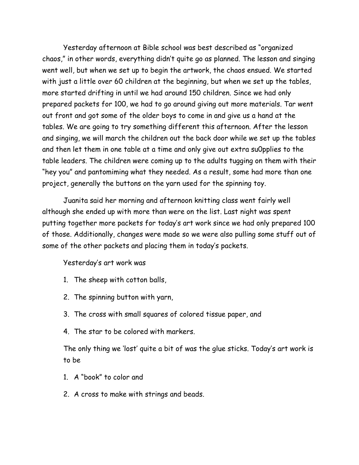Yesterday afternoon at Bible school was best described as "organized chaos," in other words, everything didn't quite go as planned. The lesson and singing went well, but when we set up to begin the artwork, the chaos ensued. We started with just a little over 60 children at the beginning, but when we set up the tables, more started drifting in until we had around 150 children. Since we had only prepared packets for 100, we had to go around giving out more materials. Tar went out front and got some of the older boys to come in and give us a hand at the tables. We are going to try something different this afternoon. After the lesson and singing, we will march the children out the back door while we set up the tables and then let them in one table at a time and only give out extra su0pplies to the table leaders. The children were coming up to the adults tugging on them with their "hey you" and pantomiming what they needed. As a result, some had more than one project, generally the buttons on the yarn used for the spinning toy.

Juanita said her morning and afternoon knitting class went fairly well although she ended up with more than were on the list. Last night was spent putting together more packets for today's art work since we had only prepared 100 of those. Additionally, changes were made so we were also pulling some stuff out of some of the other packets and placing them in today's packets.

## Yesterday's art work was

- 1. The sheep with cotton balls,
- 2. The spinning button with yarn,
- 3. The cross with small squares of colored tissue paper, and
- 4. The star to be colored with markers.

The only thing we 'lost' quite a bit of was the glue sticks. Today's art work is to be

- 1. A "book" to color and
- 2. A cross to make with strings and beads.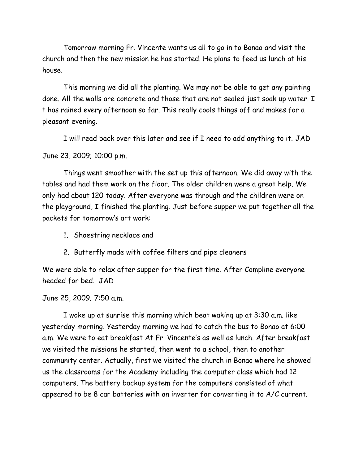Tomorrow morning Fr. Vincente wants us all to go in to Bonao and visit the church and then the new mission he has started. He plans to feed us lunch at his house.

This morning we did all the planting. We may not be able to get any painting done. All the walls are concrete and those that are not sealed just soak up water. I t has rained every afternoon so far. This really cools things off and makes for a pleasant evening.

I will read back over this later and see if I need to add anything to it. JAD

June 23, 2009; 10:00 p.m.

Things went smoother with the set up this afternoon. We did away with the tables and had them work on the floor. The older children were a great help. We only had about 120 today. After everyone was through and the children were on the playground, I finished the planting. Just before supper we put together all the packets for tomorrow's art work:

- 1. Shoestring necklace and
- 2. Butterfly made with coffee filters and pipe cleaners

We were able to relax after supper for the first time. After Compline everyone headed for bed. JAD

June 25, 2009; 7:50 a.m.

I woke up at sunrise this morning which beat waking up at 3:30 a.m. like yesterday morning. Yesterday morning we had to catch the bus to Bonao at 6:00 a.m. We were to eat breakfast At Fr. Vincente's as well as lunch. After breakfast we visited the missions he started, then went to a school, then to another community center. Actually, first we visited the church in Bonao where he showed us the classrooms for the Academy including the computer class which had 12 computers. The battery backup system for the computers consisted of what appeared to be 8 car batteries with an inverter for converting it to A/C current.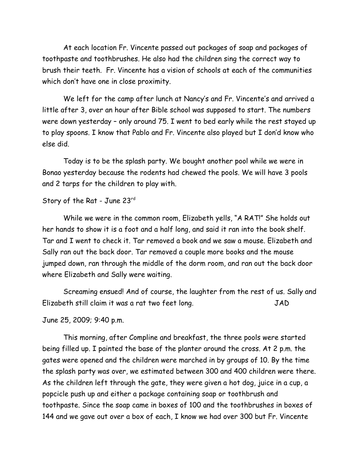At each location Fr. Vincente passed out packages of soap and packages of toothpaste and toothbrushes. He also had the children sing the correct way to brush their teeth. Fr. Vincente has a vision of schools at each of the communities which don't have one in close proximity.

We left for the camp after lunch at Nancy's and Fr. Vincente's and arrived a little after 3, over an hour after Bible school was supposed to start. The numbers were down yesterday – only around 75. I went to bed early while the rest stayed up to play spoons. I know that Pablo and Fr. Vincente also played but I don'd know who else did.

Today is to be the splash party. We bought another pool while we were in Bonao yesterday because the rodents had chewed the pools. We will have 3 pools and 2 tarps for the children to play with.

# Story of the Rat - June 23rd

While we were in the common room, Elizabeth yells, "A RAT!" She holds out her hands to show it is a foot and a half long, and said it ran into the book shelf. Tar and I went to check it. Tar removed a book and we saw a mouse. Elizabeth and Sally ran out the back door. Tar removed a couple more books and the mouse jumped down, ran through the middle of the dorm room, and ran out the back door where Elizabeth and Sally were waiting.

Screaming ensued! And of course, the laughter from the rest of us. Sally and Elizabeth still claim it was a rat two feet long. JAD

June 25, 2009; 9:40 p.m.

This morning, after Compline and breakfast, the three pools were started being filled up. I painted the base of the planter around the cross. At 2 p.m. the gates were opened and the children were marched in by groups of 10. By the time the splash party was over, we estimated between 300 and 400 children were there. As the children left through the gate, they were given a hot dog, juice in a cup, a popcicle push up and either a package containing soap or toothbrush and toothpaste. Since the soap came in boxes of 100 and the toothbrushes in boxes of 144 and we gave out over a box of each, I know we had over 300 but Fr. Vincente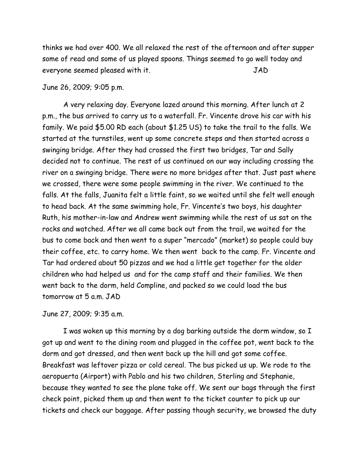thinks we had over 400. We all relaxed the rest of the afternoon and after supper some of read and some of us played spoons. Things seemed to go well today and everyone seemed pleased with it. JAD

#### June 26, 2009; 9:05 p.m.

A very relaxing day. Everyone lazed around this morning. After lunch at 2 p.m., the bus arrived to carry us to a waterfall. Fr. Vincente drove his car with his family. We paid \$5.00 RD each (about \$1.25 US) to take the trail to the falls. We started at the turnstiles, went up some concrete steps and then started across a swinging bridge. After they had crossed the first two bridges, Tar and Sally decided not to continue. The rest of us continued on our way including crossing the river on a swinging bridge. There were no more bridges after that. Just past where we crossed, there were some people swimming in the river. We continued to the falls. At the falls, Juanita felt a little faint, so we waited until she felt well enough to head back. At the same swimming hole, Fr. Vincente's two boys, his daughter Ruth, his mother-in-law and Andrew went swimming while the rest of us sat on the rocks and watched. After we all came back out from the trail, we waited for the bus to come back and then went to a super "mercado" (market) so people could buy their coffee, etc. to carry home. We then went back to the camp. Fr. Vincente and Tar had ordered about 50 pizzas and we had a little get together for the older children who had helped us and for the camp staff and their families. We then went back to the dorm, held Compline, and packed so we could load the bus tomorrow at 5 a.m. JAD

June 27, 2009; 9:35 a.m.

I was woken up this morning by a dog barking outside the dorm window, so I got up and went to the dining room and plugged in the coffee pot, went back to the dorm and got dressed, and then went back up the hill and got some coffee. Breakfast was leftover pizza or cold cereal. The bus picked us up. We rode to the aeropuerta (Airport) with Pablo and his two children, Sterling and Stephanie, because they wanted to see the plane take off. We sent our bags through the first check point, picked them up and then went to the ticket counter to pick up our tickets and check our baggage. After passing though security, we browsed the duty